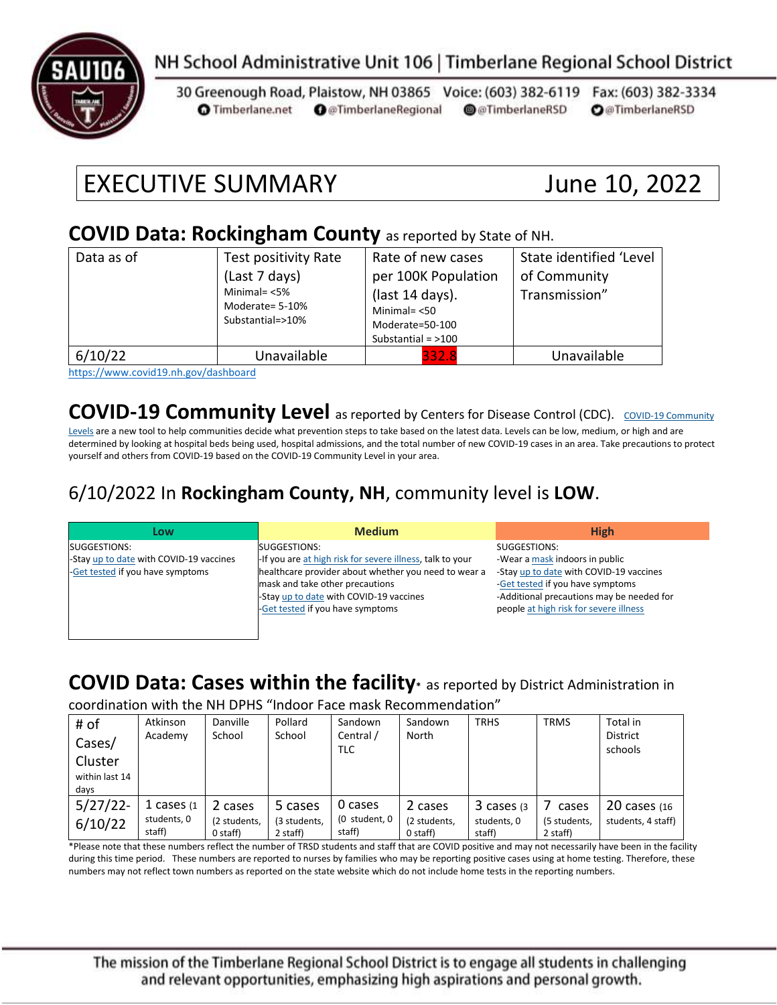

# NH School Administrative Unit 106 | Timberlane Regional School District

30 Greenough Road, Plaistow, NH 03865 Voice: (603) 382-6119 Fax: (603) 382-3334 **O** Timberlane.net **O** @TimberlaneRegional @@TimberlaneRSD **O**@TimberlaneRSD

# EXECUTIVE SUMMARY June 10, 2022

#### **COVID Data: Rockingham County** as reported by State of NH.

| Data as of | Test positivity Rate<br>(Last 7 days)<br>Minimal= $<$ 5%<br>Moderate= 5-10%<br>Substantial=>10% | Rate of new cases<br>per 100K Population<br>(last 14 days).<br>Minimal $=$ <50<br>Moderate=50-100<br>Substantial = $>100$ | State identified 'Level<br>of Community<br>Transmission" |
|------------|-------------------------------------------------------------------------------------------------|---------------------------------------------------------------------------------------------------------------------------|----------------------------------------------------------|
| 6/10/22    | Unavailable                                                                                     | 332.8                                                                                                                     | Unavailable                                              |

<https://www.covid19.nh.gov/dashboard>

### **[COVID-19 Community](https://www.cdc.gov/coronavirus/2019-ncov/science/community-levels.html) Level** as reported by Centers for Disease Control (CDC). COVID-19 Community

[Levels](https://www.cdc.gov/coronavirus/2019-ncov/science/community-levels.html) are a new tool to help communities decide what prevention steps to take based on the latest data. Levels can be low, medium, or high and are determined by looking at hospital beds being used, hospital admissions, and the total number of new COVID-19 cases in an area. Take precautions to protect yourself and others from COVID-19 based on the COVID-19 Community Level in your area.

### 6/10/2022 In **Rockingham County, NH**, community level is **LOW**.

| Low                                     | <b>Medium</b>                                             | <b>High</b>                               |
|-----------------------------------------|-----------------------------------------------------------|-------------------------------------------|
| SUGGESTIONS:                            | SUGGESTIONS:                                              | SUGGESTIONS:                              |
| -Stay up to date with COVID-19 vaccines | -If you are at high risk for severe illness, talk to your | -Wear a mask indoors in public            |
| -Get tested if you have symptoms        | healthcare provider about whether you need to wear a      | -Stay up to date with COVID-19 vaccines   |
|                                         | mask and take other precautions                           | -Get tested if you have symptoms          |
|                                         | -Stay up to date with COVID-19 vaccines                   | -Additional precautions may be needed for |
|                                         | -Get tested if you have symptoms                          | people at high risk for severe illness    |
|                                         |                                                           |                                           |
|                                         |                                                           |                                           |

# **COVID Data: Cases within the facility\*** as reported by District Administration in

coordination with the NH DPHS "Indoor Face mask Recommendation"

| # of<br>Cases/<br>Cluster<br>within last 14<br>days | Atkinson<br>Academy                    | Danville<br>School                  | Pollard<br>School                   | Sandown<br>Central /<br>TLC        | Sandown<br>North                      | <b>TRHS</b>                          | <b>TRMS</b>                       | Total in<br><b>District</b><br>schools  |
|-----------------------------------------------------|----------------------------------------|-------------------------------------|-------------------------------------|------------------------------------|---------------------------------------|--------------------------------------|-----------------------------------|-----------------------------------------|
| $5/27/22$ -<br>6/10/22                              | 1 cases $(1)$<br>students, 0<br>staff) | 2 cases<br>(2 students,<br>0 staff) | 5 cases<br>(3 students,<br>2 staff) | 0 cases<br>(0 student, 0<br>staff) | 2 cases<br>(2 students,<br>$0$ staff) | 3 cases (3)<br>students, 0<br>staff) | cases<br>(5 students,<br>2 staff) | $20$ cases $(16)$<br>students, 4 staff) |

\*Please note that these numbers reflect the number of TRSD students and staff that are COVID positive and may not necessarily have been in the facility during this time period. These numbers are reported to nurses by families who may be reporting positive cases using at home testing. Therefore, these numbers may not reflect town numbers as reported on the state website which do not include home tests in the reporting numbers.

The mission of the Timberlane Regional School District is to engage all students in challenging and relevant opportunities, emphasizing high aspirations and personal growth.